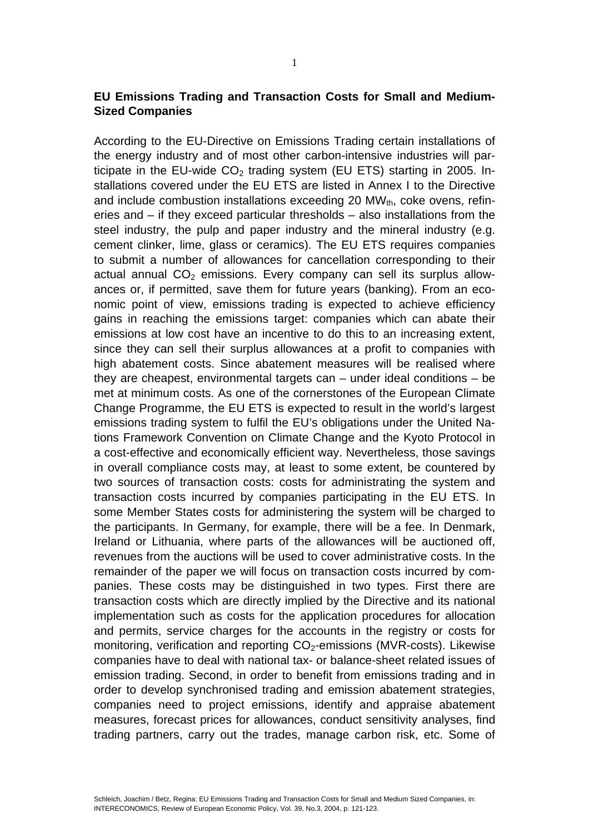## **EU Emissions Trading and Transaction Costs for Small and Medium-Sized Companies**

According to the EU-Directive on Emissions Trading certain installations of the energy industry and of most other carbon-intensive industries will participate in the EU-wide  $CO<sub>2</sub>$  trading system (EU ETS) starting in 2005. Installations covered under the EU ETS are listed in Annex I to the Directive and include combustion installations exceeding 20  $MW_{th}$ , coke ovens, refineries and – if they exceed particular thresholds – also installations from the steel industry, the pulp and paper industry and the mineral industry (e.g. cement clinker, lime, glass or ceramics). The EU ETS requires companies to submit a number of allowances for cancellation corresponding to their actual annual  $CO<sub>2</sub>$  emissions. Every company can sell its surplus allowances or, if permitted, save them for future years (banking). From an economic point of view, emissions trading is expected to achieve efficiency gains in reaching the emissions target: companies which can abate their emissions at low cost have an incentive to do this to an increasing extent, since they can sell their surplus allowances at a profit to companies with high abatement costs. Since abatement measures will be realised where they are cheapest, environmental targets can – under ideal conditions – be met at minimum costs. As one of the cornerstones of the European Climate Change Programme, the EU ETS is expected to result in the world's largest emissions trading system to fulfil the EU's obligations under the United Nations Framework Convention on Climate Change and the Kyoto Protocol in a cost-effective and economically efficient way. Nevertheless, those savings in overall compliance costs may, at least to some extent, be countered by two sources of transaction costs: costs for administrating the system and transaction costs incurred by companies participating in the EU ETS. In some Member States costs for administering the system will be charged to the participants. In Germany, for example, there will be a fee. In Denmark, Ireland or Lithuania, where parts of the allowances will be auctioned off, revenues from the auctions will be used to cover administrative costs. In the remainder of the paper we will focus on transaction costs incurred by companies. These costs may be distinguished in two types. First there are transaction costs which are directly implied by the Directive and its national implementation such as costs for the application procedures for allocation and permits, service charges for the accounts in the registry or costs for monitoring, verification and reporting  $CO<sub>2</sub>$ -emissions (MVR-costs). Likewise companies have to deal with national tax- or balance-sheet related issues of emission trading. Second, in order to benefit from emissions trading and in order to develop synchronised trading and emission abatement strategies, companies need to project emissions, identify and appraise abatement measures, forecast prices for allowances, conduct sensitivity analyses, find trading partners, carry out the trades, manage carbon risk, etc. Some of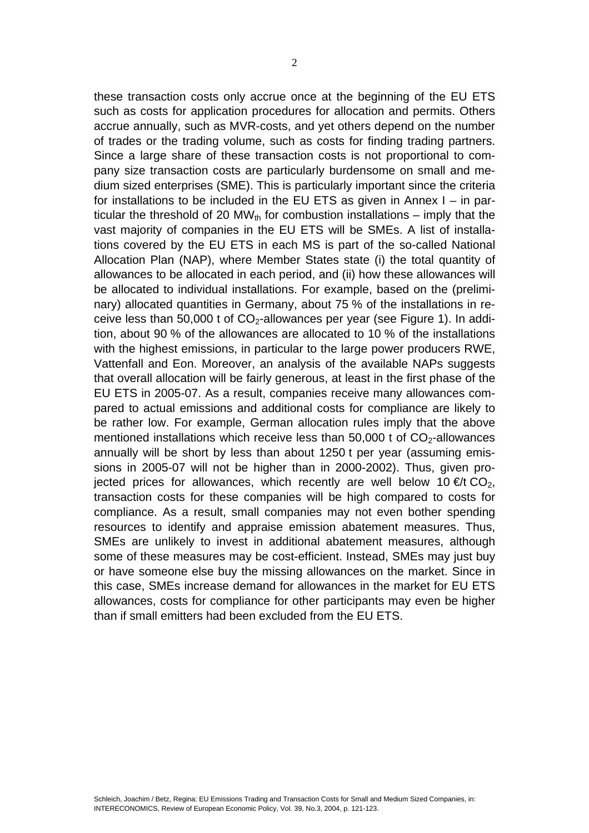these transaction costs only accrue once at the beginning of the EU ETS such as costs for application procedures for allocation and permits. Others accrue annually, such as MVR-costs, and yet others depend on the number of trades or the trading volume, such as costs for finding trading partners. Since a large share of these transaction costs is not proportional to company size transaction costs are particularly burdensome on small and medium sized enterprises (SME). This is particularly important since the criteria for installations to be included in the EU ETS as given in Annex I – in particular the threshold of 20 MW<sub>th</sub> for combustion installations – imply that the vast majority of companies in the EU ETS will be SMEs. A list of installations covered by the EU ETS in each MS is part of the so-called National Allocation Plan (NAP), where Member States state (i) the total quantity of allowances to be allocated in each period, and (ii) how these allowances will be allocated to individual installations. For example, based on the (preliminary) allocated quantities in Germany, about 75 % of the installations in receive less than 50,000 t of  $CO<sub>2</sub>$ -allowances per year (see Figure 1). In addition, about 90 % of the allowances are allocated to 10 % of the installations with the highest emissions, in particular to the large power producers RWE, Vattenfall and Eon. Moreover, an analysis of the available NAPs suggests that overall allocation will be fairly generous, at least in the first phase of the EU ETS in 2005-07. As a result, companies receive many allowances compared to actual emissions and additional costs for compliance are likely to be rather low. For example, German allocation rules imply that the above mentioned installations which receive less than  $50,000$  t of  $CO<sub>2</sub>$ -allowances annually will be short by less than about 1250 t per year (assuming emissions in 2005-07 will not be higher than in 2000-2002). Thus, given projected prices for allowances, which recently are well below 10  $\epsilon/t$  CO<sub>2</sub>, transaction costs for these companies will be high compared to costs for compliance. As a result, small companies may not even bother spending resources to identify and appraise emission abatement measures. Thus, SMEs are unlikely to invest in additional abatement measures, although some of these measures may be cost-efficient. Instead, SMEs may just buy or have someone else buy the missing allowances on the market. Since in this case, SMEs increase demand for allowances in the market for EU ETS allowances, costs for compliance for other participants may even be higher than if small emitters had been excluded from the EU ETS.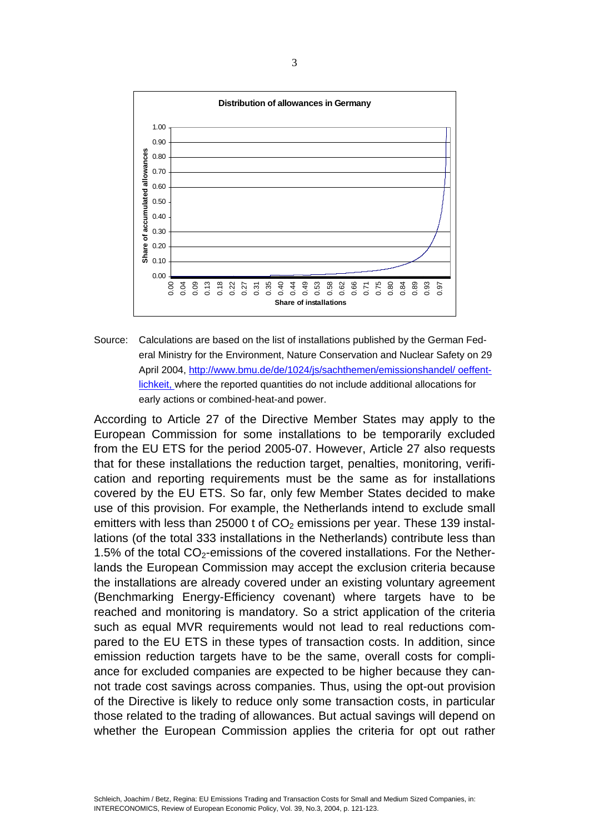

Source: Calculations are based on the list of installations published by the German Federal Ministry for the Environment, Nature Conservation and Nuclear Safety on 29 April 2004, http://www.bmu.de/de/1024/js/sachthemen/emissionshandel/ oeffentlichkeit, where the reported quantities do not include additional allocations for early actions or combined-heat-and power.

According to Article 27 of the Directive Member States may apply to the European Commission for some installations to be temporarily excluded from the EU ETS for the period 2005-07. However, Article 27 also requests that for these installations the reduction target, penalties, monitoring, verification and reporting requirements must be the same as for installations covered by the EU ETS. So far, only few Member States decided to make use of this provision. For example, the Netherlands intend to exclude small emitters with less than 25000 t of  $CO<sub>2</sub>$  emissions per year. These 139 installations (of the total 333 installations in the Netherlands) contribute less than 1.5% of the total  $CO<sub>2</sub>$ -emissions of the covered installations. For the Netherlands the European Commission may accept the exclusion criteria because the installations are already covered under an existing voluntary agreement (Benchmarking Energy-Efficiency covenant) where targets have to be reached and monitoring is mandatory. So a strict application of the criteria such as equal MVR requirements would not lead to real reductions compared to the EU ETS in these types of transaction costs. In addition, since emission reduction targets have to be the same, overall costs for compliance for excluded companies are expected to be higher because they cannot trade cost savings across companies. Thus, using the opt-out provision of the Directive is likely to reduce only some transaction costs, in particular those related to the trading of allowances. But actual savings will depend on whether the European Commission applies the criteria for opt out rather